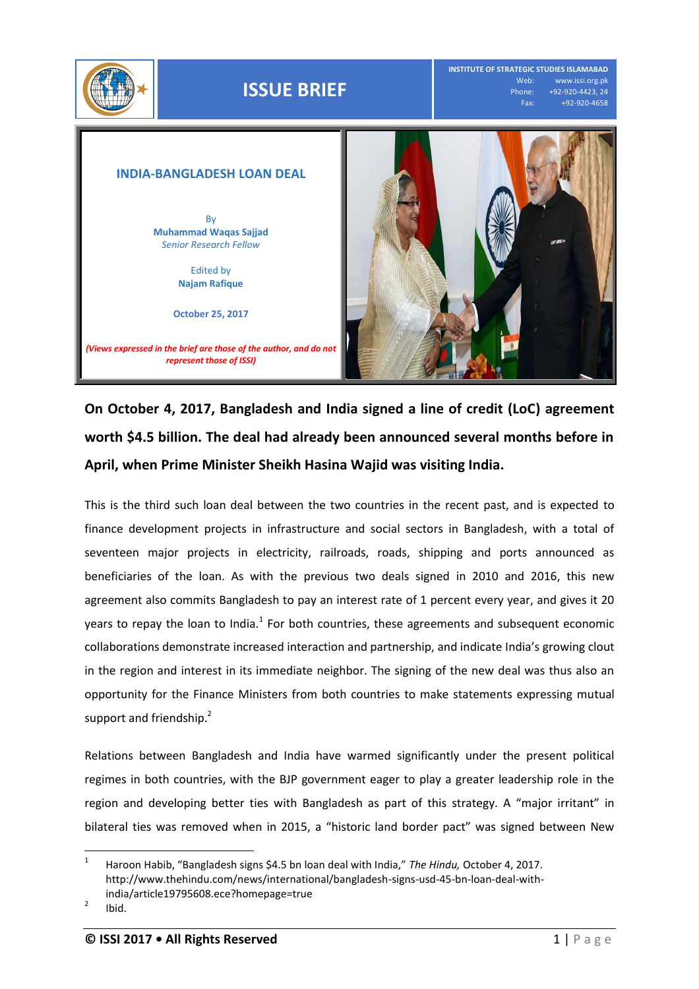

## **ISSUE BRIEF**

**INSTITUTE OF STRATEGIC STUDIES ISLAMABAD** Web: www.issi.org.pk<br>Phone: +92-920-4423, 24 one: +92-920-4423, 24<br>Fax: +92-920-4658 Fax: +92-920-4658

## **INDIA-BANGLADESH LOAN DEAL** By **Muhammad Waqas Sajjad** *Senior Research Fellow* Edited by **Najam Rafique October 25, 2017** *(Views expressed in the brief are those of the author, and do not represent those of ISSI)*

## **On October 4, 2017, Bangladesh and India signed a line of credit (LoC) agreement worth \$4.5 billion. The deal had already been announced several months before in April, when Prime Minister Sheikh Hasina Wajid was visiting India.**

This is the third such loan deal between the two countries in the recent past, and is expected to finance development projects in infrastructure and social sectors in Bangladesh, with a total of seventeen major projects in electricity, railroads, roads, shipping and ports announced as beneficiaries of the loan. As with the previous two deals signed in 2010 and 2016, this new agreement also commits Bangladesh to pay an interest rate of 1 percent every year, and gives it 20 years to repay the loan to India.<sup>1</sup> For both countries, these agreements and subsequent economic collaborations demonstrate increased interaction and partnership, and indicate India's growing clout in the region and interest in its immediate neighbor. The signing of the new deal was thus also an opportunity for the Finance Ministers from both countries to make statements expressing mutual support and friendship.<sup>2</sup>

Relations between Bangladesh and India have warmed significantly under the present political regimes in both countries, with the BJP government eager to play a greater leadership role in the region and developing better ties with Bangladesh as part of this strategy. A "major irritant" in bilateral ties was removed when in 2015, a "historic land border pact" was signed between New

 $\frac{1}{1}$ Haroon Habib, "Bangladesh signs \$4.5 bn loan deal with India," *The Hindu,* October 4, 2017. [http://www.thehindu.com/news/international/bangladesh-signs-usd-45-bn-loan-deal-with](http://www.thehindu.com/news/international/bangladesh-signs-usd-45-bn-loan-deal-with-india/article19795608.ece?homepage=true)[india/article19795608.ece?homepage=true](http://www.thehindu.com/news/international/bangladesh-signs-usd-45-bn-loan-deal-with-india/article19795608.ece?homepage=true)

<sup>2</sup> Ibid.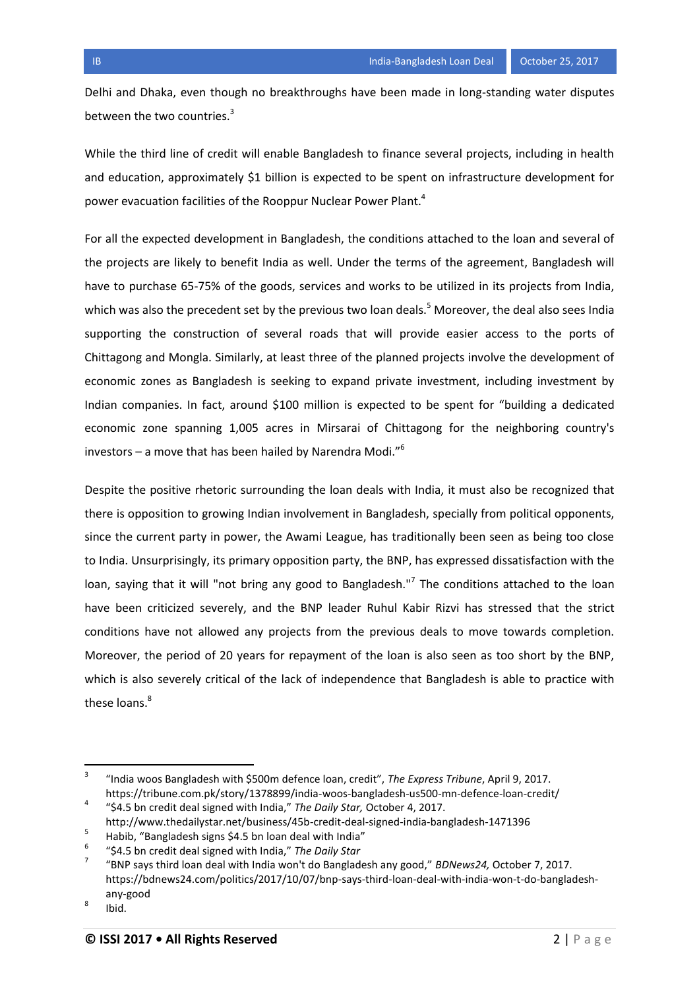Delhi and Dhaka, even though no breakthroughs have been made in long-standing water disputes between the two countries.<sup>3</sup>

While the third line of credit will enable Bangladesh to finance several projects, including in health and education, approximately \$1 billion is expected to be spent on infrastructure development for power evacuation facilities of the Rooppur Nuclear Power Plant.<sup>4</sup>

For all the expected development in Bangladesh, the conditions attached to the loan and several of the projects are likely to benefit India as well. Under the terms of the agreement, Bangladesh will have to purchase 65-75% of the goods, services and works to be utilized in its projects from India, which was also the precedent set by the previous two loan deals.<sup>5</sup> Moreover, the deal also sees India supporting the construction of several roads that will provide easier access to the ports of Chittagong and Mongla. Similarly, at least three of the planned projects involve the development of economic zones as Bangladesh is seeking to expand private investment, including investment by Indian companies. In fact, around \$100 million is expected to be spent for "building a dedicated economic zone spanning 1,005 acres in Mirsarai of Chittagong for the neighboring country's investors – a move that has been hailed by Narendra Modi. $^{6}$ 

Despite the positive rhetoric surrounding the loan deals with India, it must also be recognized that there is opposition to growing Indian involvement in Bangladesh, specially from political opponents, since the current party in power, the Awami League, has traditionally been seen as being too close to India. Unsurprisingly, its primary opposition party, the BNP, has expressed dissatisfaction with the loan, saying that it will "not bring any good to Bangladesh."<sup>7</sup> The conditions attached to the loan have been criticized severely, and the BNP leader Ruhul Kabir Rizvi has stressed that the strict conditions have not allowed any projects from the previous deals to move towards completion. Moreover, the period of 20 years for repayment of the loan is also seen as too short by the BNP, which is also severely critical of the lack of independence that Bangladesh is able to practice with these loans.<sup>8</sup>

<sup>-&</sup>lt;br>3 "India woos Bangladesh with \$500m defence loan, credit", *The Express Tribune*, April 9, 2017. <https://tribune.com.pk/story/1378899/india-woos-bangladesh-us500-mn-defence-loan-credit/> 4

<sup>&</sup>quot;\$4.5 bn credit deal signed with India," *The Daily Star,* October 4, 2017. <http://www.thedailystar.net/business/45b-credit-deal-signed-india-bangladesh-1471396>

<sup>5</sup>

Habib, "Bangladesh signs \$4.5 bn loan deal with India" 6 "\$4.5 bn credit deal signed with India," *The Daily Star*

<sup>7</sup> "BNP says third loan deal with India won't do Bangladesh any good," *BDNews24,* October 7, 2017. [https://bdnews24.com/politics/2017/10/07/bnp-says-third-loan-deal-with-india-won-t-do-bangladesh](https://bdnews24.com/politics/2017/10/07/bnp-says-third-loan-deal-with-india-won-t-do-bangladesh-any-good)[any-good](https://bdnews24.com/politics/2017/10/07/bnp-says-third-loan-deal-with-india-won-t-do-bangladesh-any-good)

<sup>8</sup> Ibid.